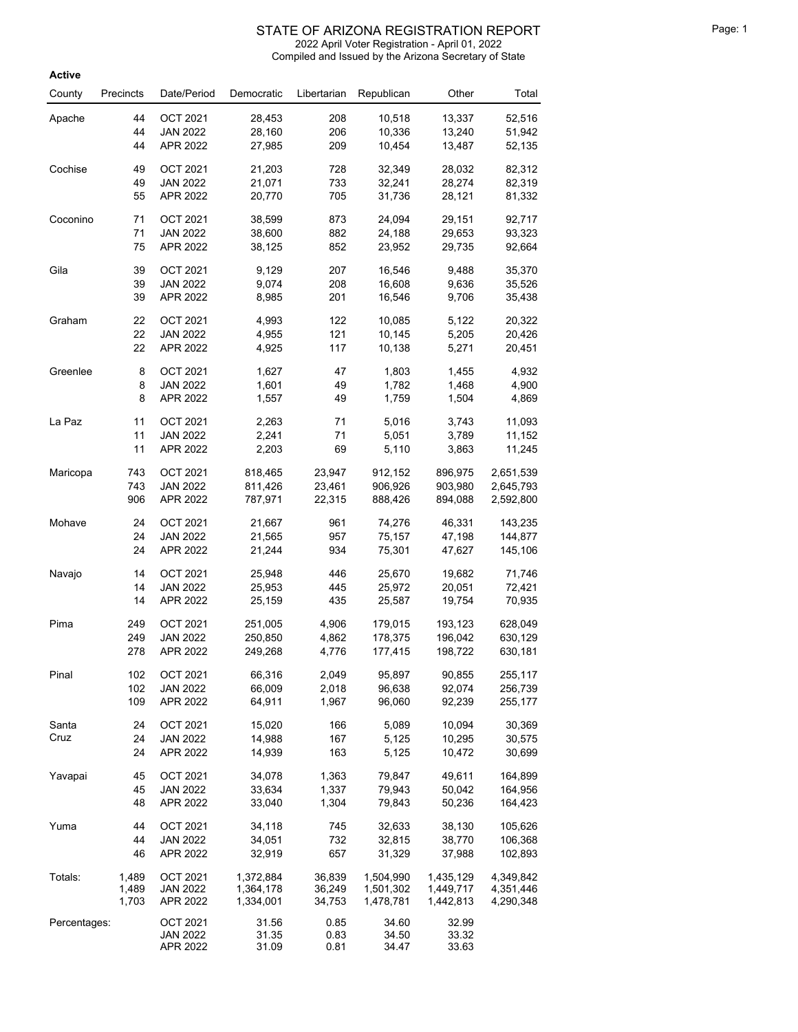| <b>Active</b> |           |                 |            |             |            |           |                  |
|---------------|-----------|-----------------|------------|-------------|------------|-----------|------------------|
| County        | Precincts | Date/Period     | Democratic | Libertarian | Republican | Other     | Total            |
|               | 44        | <b>OCT 2021</b> | 28,453     | 208         | 10,518     | 13,337    |                  |
| Apache        | 44        | <b>JAN 2022</b> | 28,160     | 206         | 10,336     | 13,240    | 52,516<br>51,942 |
|               | 44        | APR 2022        | 27,985     | 209         | 10,454     | 13,487    | 52,135           |
|               |           |                 |            |             |            |           |                  |
| Cochise       | 49        | OCT 2021        | 21,203     | 728         | 32,349     | 28,032    | 82,312           |
|               | 49        | <b>JAN 2022</b> | 21,071     | 733         | 32,241     | 28,274    | 82,319           |
|               | 55        | APR 2022        | 20,770     | 705         | 31,736     | 28,121    | 81,332           |
| Coconino      | 71        | <b>OCT 2021</b> | 38,599     | 873         | 24,094     | 29,151    | 92,717           |
|               | 71        | <b>JAN 2022</b> | 38,600     | 882         | 24,188     | 29,653    | 93,323           |
|               | 75        | APR 2022        | 38,125     | 852         | 23,952     | 29,735    | 92,664           |
| Gila          | 39        | <b>OCT 2021</b> | 9,129      | 207         | 16,546     | 9,488     | 35,370           |
|               | 39        | <b>JAN 2022</b> | 9,074      | 208         | 16,608     | 9,636     | 35,526           |
|               | 39        | APR 2022        | 8,985      | 201         | 16,546     | 9,706     | 35,438           |
| Graham        | 22        | <b>OCT 2021</b> | 4,993      | 122         | 10,085     | 5,122     | 20,322           |
|               | 22        | <b>JAN 2022</b> | 4,955      | 121         | 10,145     | 5,205     | 20,426           |
|               | 22        | APR 2022        | 4,925      | 117         | 10,138     | 5,271     | 20,451           |
| Greenlee      | 8         | <b>OCT 2021</b> | 1,627      | 47          | 1,803      | 1,455     | 4,932            |
|               | 8         | <b>JAN 2022</b> | 1,601      | 49          | 1,782      | 1,468     | 4,900            |
|               | 8         | APR 2022        | 1,557      | 49          | 1,759      | 1,504     | 4,869            |
| La Paz        | 11        | <b>OCT 2021</b> | 2,263      | 71          | 5,016      | 3,743     | 11,093           |
|               | 11        | <b>JAN 2022</b> | 2,241      | 71          | 5,051      | 3,789     | 11,152           |
|               | 11        | APR 2022        | 2,203      | 69          | 5,110      | 3,863     | 11,245           |
| Maricopa      | 743       | <b>OCT 2021</b> | 818,465    | 23,947      | 912,152    | 896,975   | 2,651,539        |
|               | 743       | JAN 2022        | 811,426    | 23,461      | 906,926    | 903,980   | 2,645,793        |
|               | 906       | APR 2022        | 787,971    | 22,315      | 888,426    | 894,088   | 2,592,800        |
| Mohave        | 24        | OCT 2021        | 21,667     | 961         | 74,276     | 46,331    | 143,235          |
|               | 24        | <b>JAN 2022</b> | 21,565     | 957         | 75,157     | 47,198    | 144,877          |
|               | 24        | APR 2022        | 21,244     | 934         | 75,301     | 47,627    | 145,106          |
| Navajo        | 14        | <b>OCT 2021</b> | 25,948     | 446         | 25,670     | 19,682    | 71,746           |
|               | 14        | <b>JAN 2022</b> | 25,953     | 445         | 25,972     | 20,051    | 72,421           |
|               | 14        | APR 2022        | 25,159     | 435         | 25,587     | 19,754    | 70,935           |
| Pima          | 249       | <b>OCT 2021</b> | 251,005    | 4,906       | 179,015    | 193,123   | 628,049          |
|               | 249       | <b>JAN 2022</b> | 250,850    | 4,862       | 178,375    | 196,042   | 630,129          |
|               | 278       | APR 2022        | 249,268    | 4,776       | 177,415    | 198,722   | 630,181          |
| Pinal         | 102       | <b>OCT 2021</b> | 66,316     | 2,049       | 95,897     | 90,855    | 255,117          |
|               | 102       | <b>JAN 2022</b> | 66,009     | 2,018       | 96,638     | 92,074    | 256,739          |
|               | 109       | APR 2022        | 64,911     | 1,967       | 96,060     | 92,239    | 255,177          |
| Santa         | 24        | <b>OCT 2021</b> | 15,020     | 166         | 5,089      | 10,094    | 30,369           |
| Cruz          | 24        | <b>JAN 2022</b> | 14,988     | 167         | 5,125      | 10,295    | 30,575           |
|               | 24        | APR 2022        | 14,939     | 163         | 5,125      | 10,472    | 30,699           |
| Yavapai       | 45        | <b>OCT 2021</b> | 34,078     | 1,363       | 79,847     | 49,611    | 164,899          |
|               | 45        | JAN 2022        | 33,634     | 1,337       | 79,943     | 50,042    | 164,956          |
|               | 48        | APR 2022        | 33,040     | 1,304       | 79,843     | 50,236    | 164,423          |
| Yuma          | 44        | <b>OCT 2021</b> | 34,118     | 745         | 32,633     | 38,130    | 105,626          |
|               | 44        | <b>JAN 2022</b> | 34,051     | 732         | 32,815     | 38,770    | 106,368          |
|               | 46        | APR 2022        | 32,919     | 657         | 31,329     | 37,988    | 102,893          |
| Totals:       | 1,489     | <b>OCT 2021</b> | 1,372,884  | 36,839      | 1,504,990  | 1,435,129 | 4,349,842        |
|               | 1,489     | <b>JAN 2022</b> | 1,364,178  | 36,249      | 1,501,302  | 1,449,717 | 4,351,446        |
|               | 1,703     | APR 2022        | 1,334,001  | 34,753      | 1,478,781  | 1,442,813 | 4,290,348        |
| Percentages:  |           | <b>OCT 2021</b> | 31.56      | 0.85        | 34.60      | 32.99     |                  |
|               |           | <b>JAN 2022</b> | 31.35      | 0.83        | 34.50      | 33.32     |                  |
|               |           | APR 2022        | 31.09      | 0.81        | 34.47      | 33.63     |                  |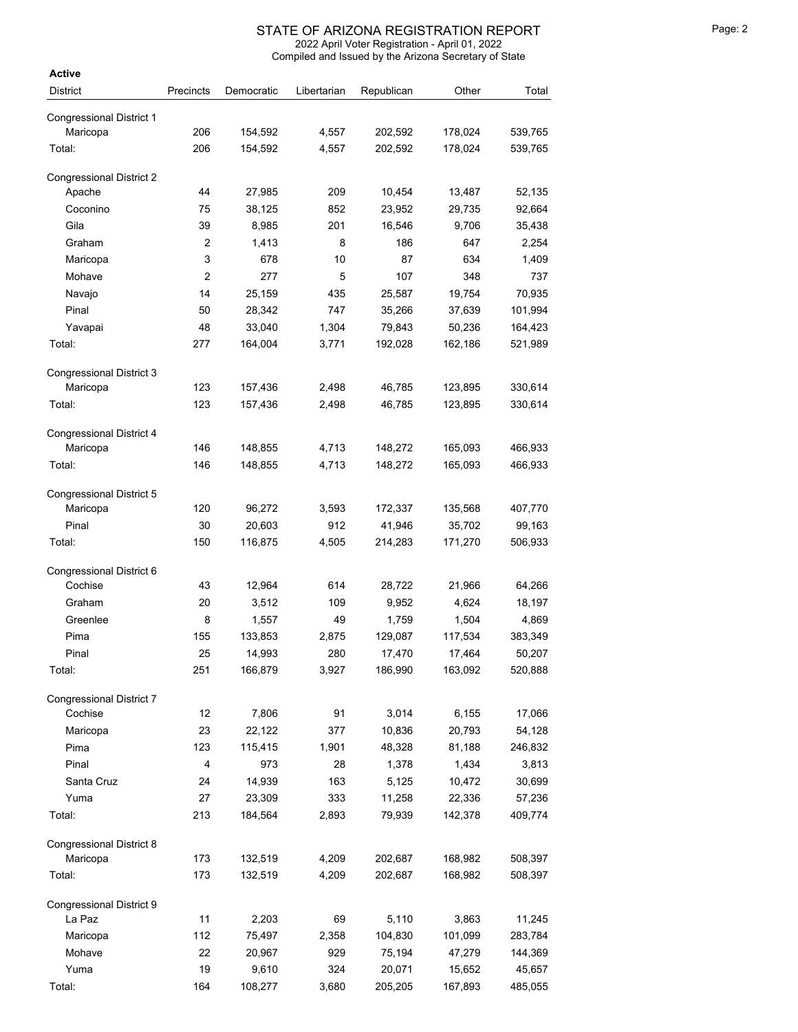| Active                               |                |            |             |            |         |         |
|--------------------------------------|----------------|------------|-------------|------------|---------|---------|
| <b>District</b>                      | Precincts      | Democratic | Libertarian | Republican | Other   | Total   |
|                                      |                |            |             |            |         |         |
| <b>Congressional District 1</b>      | 206            | 154,592    |             | 202,592    | 178,024 | 539,765 |
| Maricopa                             |                |            | 4,557       |            |         |         |
| Total:                               | 206            | 154,592    | 4,557       | 202,592    | 178,024 | 539,765 |
| <b>Congressional District 2</b>      |                |            |             |            |         |         |
| Apache                               | 44             | 27,985     | 209         | 10,454     | 13,487  | 52,135  |
| Coconino                             | 75             | 38,125     | 852         | 23,952     | 29,735  | 92,664  |
| Gila                                 | 39             | 8,985      | 201         | 16,546     | 9,706   | 35,438  |
| Graham                               | $\overline{c}$ | 1,413      | 8           | 186        | 647     | 2,254   |
| Maricopa                             | 3              | 678        | 10          | 87         | 634     | 1,409   |
| Mohave                               | $\overline{c}$ | 277        | 5           | 107        | 348     | 737     |
| Navajo                               | 14             | 25,159     | 435         | 25,587     | 19,754  | 70,935  |
| Pinal                                | 50             | 28,342     | 747         | 35,266     | 37,639  | 101,994 |
| Yavapai                              | 48             | 33,040     | 1,304       | 79,843     | 50,236  | 164,423 |
| Total:                               | 277            | 164,004    | 3,771       | 192,028    | 162,186 | 521,989 |
|                                      |                |            |             |            |         |         |
| <b>Congressional District 3</b>      |                |            |             |            |         |         |
| Maricopa                             | 123            | 157,436    | 2,498       | 46,785     | 123,895 | 330,614 |
| Total:                               | 123            | 157,436    | 2,498       | 46,785     | 123,895 | 330,614 |
|                                      |                |            |             |            |         |         |
| Congressional District 4<br>Maricopa | 146            | 148,855    | 4,713       | 148,272    | 165,093 | 466,933 |
| Total:                               | 146            | 148,855    | 4,713       | 148,272    | 165,093 | 466,933 |
|                                      |                |            |             |            |         |         |
| Congressional District 5             |                |            |             |            |         |         |
| Maricopa                             | 120            | 96,272     | 3,593       | 172,337    | 135,568 | 407,770 |
| Pinal                                | 30             | 20,603     | 912         | 41,946     | 35,702  | 99,163  |
| Total:                               | 150            | 116,875    | 4,505       | 214,283    | 171,270 | 506,933 |
|                                      |                |            |             |            |         |         |
| Congressional District 6             |                |            |             |            |         |         |
| Cochise                              | 43             | 12,964     | 614         | 28,722     | 21,966  | 64,266  |
| Graham                               | 20             | 3,512      | 109         | 9,952      | 4,624   | 18,197  |
| Greenlee                             | 8              | 1,557      | 49          | 1,759      | 1,504   | 4,869   |
| Pima                                 | 155            | 133,853    | 2,875       | 129,087    | 117,534 | 383,349 |
| Pinal                                | 25             | 14,993     | 280         | 17,470     | 17,464  | 50,207  |
| Total:                               | 251            | 166,879    | 3,927       | 186,990    | 163,092 | 520,888 |
| <b>Congressional District 7</b>      |                |            |             |            |         |         |
| Cochise                              | 12             | 7,806      | 91          | 3,014      | 6,155   | 17,066  |
| Maricopa                             | 23             | 22,122     | 377         | 10,836     | 20,793  | 54,128  |
| Pima                                 | 123            | 115,415    | 1,901       | 48,328     | 81,188  | 246,832 |
| Pinal                                | 4              | 973        | 28          | 1,378      | 1,434   | 3,813   |
| Santa Cruz                           | 24             | 14,939     | 163         | 5,125      | 10,472  | 30,699  |
| Yuma                                 | 27             | 23,309     | 333         | 11,258     | 22,336  | 57,236  |
| Total:                               | 213            | 184,564    | 2,893       | 79,939     | 142,378 | 409,774 |
|                                      |                |            |             |            |         |         |
| Congressional District 8             |                |            |             |            |         |         |
| Maricopa                             | 173            | 132,519    | 4,209       | 202,687    | 168,982 | 508,397 |
| Total:                               | 173            | 132,519    | 4,209       | 202,687    | 168,982 | 508,397 |
|                                      |                |            |             |            |         |         |
| Congressional District 9             |                |            |             |            |         |         |
| La Paz                               | 11             | 2,203      | 69          | 5,110      | 3,863   | 11,245  |
| Maricopa                             | 112            | 75,497     | 2,358       | 104,830    | 101,099 | 283,784 |
| Mohave                               | 22             | 20,967     | 929         | 75,194     | 47,279  | 144,369 |
| Yuma                                 | 19             | 9,610      | 324         | 20,071     | 15,652  | 45,657  |
| Total:                               | 164            | 108,277    | 3,680       | 205,205    | 167,893 | 485,055 |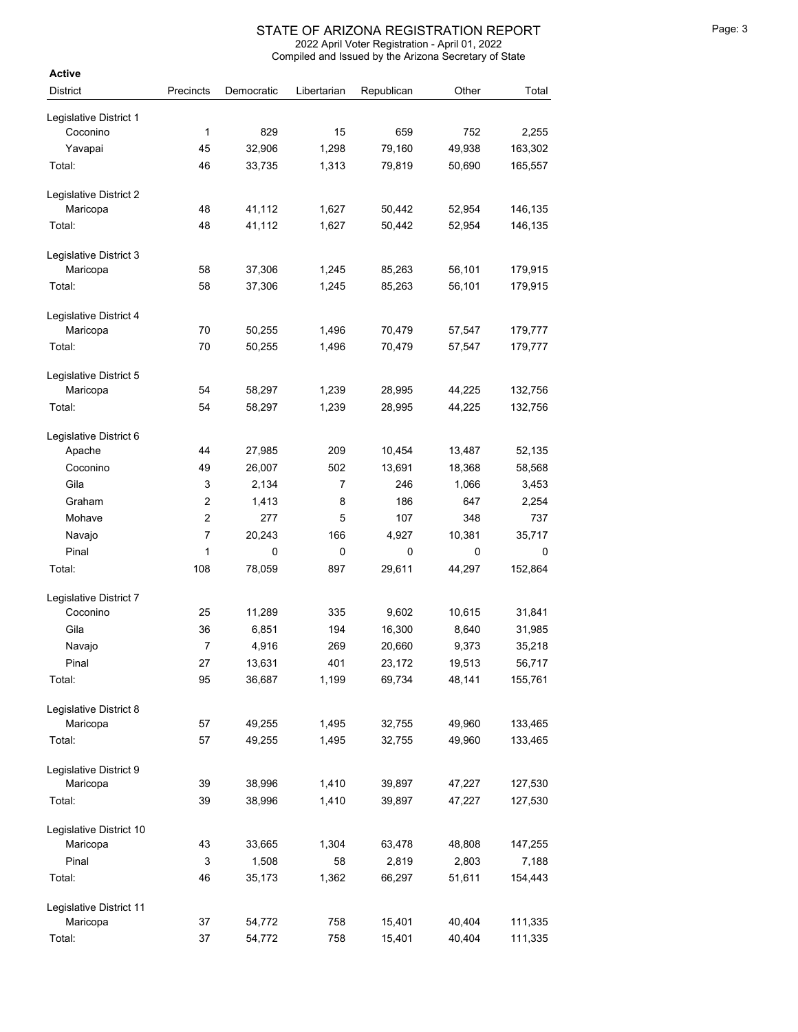| <b>Active</b>                       |                |            |             |            |        |         |
|-------------------------------------|----------------|------------|-------------|------------|--------|---------|
| <b>District</b>                     | Precincts      | Democratic | Libertarian | Republican | Other  | Total   |
| Legislative District 1              |                |            |             |            |        |         |
| Coconino                            | 1              | 829        | 15          | 659        | 752    | 2,255   |
| Yavapai                             | 45             | 32,906     | 1,298       | 79,160     | 49,938 | 163,302 |
| Total:                              | 46             | 33,735     | 1,313       | 79,819     | 50,690 | 165,557 |
|                                     |                |            |             |            |        |         |
| Legislative District 2              |                |            |             |            |        |         |
| Maricopa                            | 48             | 41,112     | 1,627       | 50,442     | 52,954 | 146,135 |
| Total:                              | 48             | 41,112     | 1,627       | 50,442     | 52,954 | 146,135 |
| Legislative District 3              |                |            |             |            |        |         |
| Maricopa                            | 58             | 37,306     | 1,245       | 85,263     | 56,101 | 179,915 |
| Total:                              | 58             | 37,306     | 1,245       | 85,263     | 56,101 | 179,915 |
| Legislative District 4              |                |            |             |            |        |         |
| Maricopa                            | 70             | 50,255     | 1,496       | 70,479     | 57,547 | 179,777 |
| Total:                              | 70             | 50,255     | 1,496       | 70,479     | 57,547 | 179,777 |
|                                     |                |            |             |            |        |         |
| Legislative District 5              |                |            |             |            |        |         |
| Maricopa                            | 54             | 58,297     | 1,239       | 28,995     | 44,225 | 132,756 |
| Total:                              | 54             | 58,297     | 1,239       | 28,995     | 44,225 | 132,756 |
| Legislative District 6              |                |            |             |            |        |         |
| Apache                              | 44             | 27,985     | 209         | 10,454     | 13,487 | 52,135  |
| Coconino                            | 49             | 26,007     | 502         | 13,691     | 18,368 | 58,568  |
| Gila                                | 3              | 2,134      | 7           | 246        | 1,066  | 3,453   |
| Graham                              | $\overline{c}$ | 1,413      | 8           | 186        | 647    | 2,254   |
|                                     | $\overline{c}$ | 277        | 5           | 107        | 348    | 737     |
| Mohave                              |                |            |             |            |        |         |
| Navajo                              | 7              | 20,243     | 166         | 4,927      | 10,381 | 35,717  |
| Pinal                               | 1              | 0          | 0           | 0          | 0      | 0       |
| Total:                              | 108            | 78,059     | 897         | 29,611     | 44,297 | 152,864 |
| Legislative District 7              |                |            |             |            |        |         |
| Coconino                            | 25             | 11,289     | 335         | 9,602      | 10,615 | 31,841  |
| Gila                                | 36             | 6,851      | 194         | 16,300     | 8,640  | 31,985  |
| Navajo                              | 7              | 4,916      | 269         | 20,660     | 9,373  | 35,218  |
| Pinal                               | 27             | 13,631     | 401         | 23,172     | 19,513 | 56,717  |
| Total:                              | 95             | 36,687     | 1,199       | 69,734     | 48,141 | 155,761 |
| Legislative District 8              |                |            |             |            |        |         |
| Maricopa                            | 57             | 49,255     | 1,495       | 32,755     | 49,960 | 133,465 |
| Total:                              | 57             | 49,255     | 1,495       | 32,755     | 49,960 | 133,465 |
|                                     |                |            |             |            |        |         |
| Legislative District 9              |                |            |             |            |        |         |
| Maricopa                            | 39             | 38,996     | 1,410       | 39,897     | 47,227 | 127,530 |
| Total:                              | 39             | 38,996     | 1,410       | 39,897     | 47,227 | 127,530 |
| Legislative District 10             |                |            |             |            |        |         |
| Maricopa                            | 43             | 33,665     | 1,304       | 63,478     | 48,808 | 147,255 |
| Pinal                               | 3              | 1,508      | 58          | 2,819      | 2,803  | 7,188   |
| Total:                              | 46             | 35,173     | 1,362       | 66,297     | 51,611 | 154,443 |
|                                     |                |            |             |            |        |         |
| Legislative District 11<br>Maricopa | 37             | 54,772     | 758         | 15,401     | 40,404 | 111,335 |
| Total:                              | 37             | 54,772     | 758         | 15,401     | 40,404 | 111,335 |
|                                     |                |            |             |            |        |         |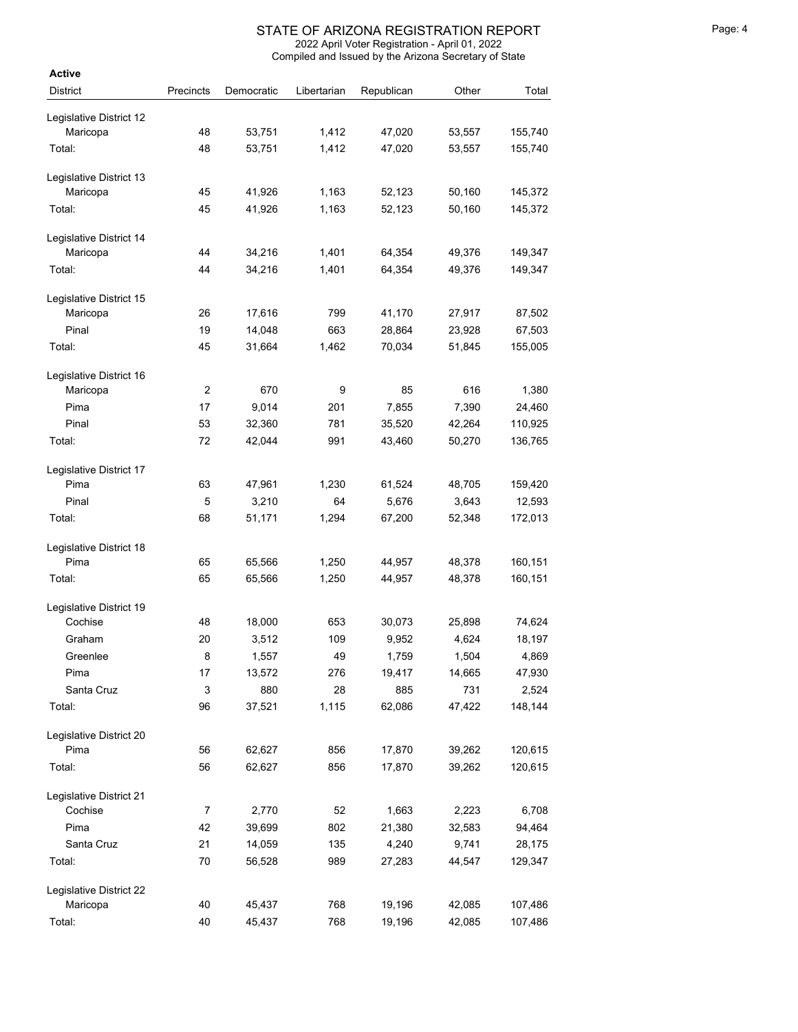| Active                          |                |                  |             |                  |        |         |
|---------------------------------|----------------|------------------|-------------|------------------|--------|---------|
| <b>District</b>                 | Precincts      | Democratic       | Libertarian | Republican       | Other  | Total   |
| Legislative District 12         |                |                  |             |                  |        |         |
| Maricopa                        | 48             | 53,751           | 1,412       | 47,020           | 53,557 | 155,740 |
| Total:                          | 48             | 53,751           | 1,412       | 47,020           | 53,557 | 155,740 |
|                                 |                |                  |             |                  |        |         |
| Legislative District 13         |                |                  |             |                  |        |         |
| Maricopa                        | 45             | 41,926           | 1,163       | 52,123           | 50,160 | 145,372 |
| Total:                          | 45             | 41.926           | 1,163       | 52,123           | 50,160 | 145,372 |
| Legislative District 14         |                |                  |             |                  |        |         |
| Maricopa                        | 44             | 34,216           | 1,401       | 64,354           | 49,376 | 149,347 |
| Total:                          | 44             | 34,216           | 1,401       | 64,354           | 49,376 | 149,347 |
| Legislative District 15         |                |                  |             |                  |        |         |
| Maricopa                        | 26             | 17,616           | 799         | 41,170           | 27,917 | 87,502  |
| Pinal                           | 19             | 14,048           | 663         | 28,864           | 23,928 | 67,503  |
| Total:                          | 45             | 31,664           | 1,462       | 70,034           | 51,845 | 155,005 |
|                                 |                |                  |             |                  |        |         |
| Legislative District 16         |                |                  |             |                  |        |         |
| Maricopa                        | $\overline{2}$ | 670              | 9           | 85               | 616    | 1,380   |
| Pima                            | 17             | 9,014            | 201         | 7,855            | 7,390  | 24,460  |
| Pinal                           | 53             | 32,360           | 781         | 35,520           | 42,264 | 110,925 |
| Total:                          | 72             | 42,044           | 991         | 43,460           | 50,270 | 136,765 |
| Legislative District 17         |                |                  |             |                  |        |         |
| Pima                            | 63             | 47,961           | 1,230       | 61,524           | 48,705 | 159,420 |
| Pinal                           | 5              | 3,210            | 64          | 5,676            | 3,643  | 12,593  |
| Total:                          | 68             | 51,171           | 1,294       | 67,200           | 52,348 | 172,013 |
| Legislative District 18         |                |                  |             |                  |        |         |
| Pima                            | 65             | 65,566           | 1,250       | 44,957           | 48,378 | 160,151 |
| Total:                          | 65             | 65,566           | 1,250       | 44,957           | 48,378 | 160,151 |
| Legislative District 19         |                |                  |             |                  |        |         |
| Cochise                         | 48             | 18,000           | 653         | 30,073           | 25,898 | 74,624  |
| Graham                          | 20             | 3,512            | 109         | 9,952            | 4,624  | 18,197  |
| Greenlee                        | 8              | 1,557            | 49          | 1,759            | 1,504  | 4,869   |
| Pima                            | 17             | 13,572           | 276         | 19,417           | 14,665 | 47,930  |
| Santa Cruz                      | 3              | 880              | 28          | 885              | 731    | 2,524   |
| Total:                          | 96             | 37,521           | 1,115       | 62,086           | 47,422 | 148,144 |
|                                 |                |                  |             |                  |        |         |
| Legislative District 20<br>Pima |                |                  | 856         |                  |        |         |
| Total:                          | 56<br>56       | 62,627<br>62,627 | 856         | 17,870<br>17,870 | 39,262 | 120,615 |
|                                 |                |                  |             |                  | 39,262 | 120,615 |
| Legislative District 21         |                |                  |             |                  |        |         |
| Cochise                         | $\overline{7}$ | 2,770            | 52          | 1,663            | 2,223  | 6,708   |
| Pima                            | 42             | 39,699           | 802         | 21,380           | 32,583 | 94,464  |
| Santa Cruz                      | 21             | 14,059           | 135         | 4,240            | 9,741  | 28,175  |
| Total:                          | 70             | 56,528           | 989         | 27,283           | 44,547 | 129,347 |
| Legislative District 22         |                |                  |             |                  |        |         |
| Maricopa                        | 40             | 45,437           | 768         | 19,196           | 42,085 | 107,486 |
| Total:                          | 40             | 45,437           | 768         | 19,196           | 42,085 | 107,486 |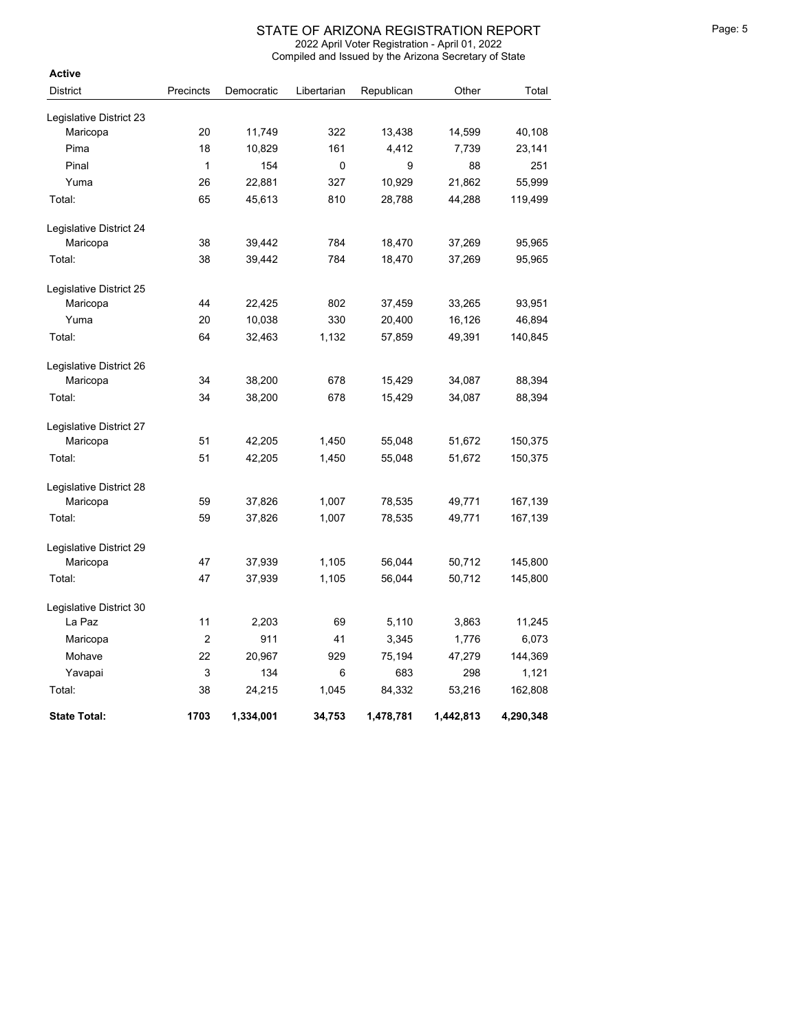| Active                  |                |            |             |            |           |           |
|-------------------------|----------------|------------|-------------|------------|-----------|-----------|
| <b>District</b>         | Precincts      | Democratic | Libertarian | Republican | Other     | Total     |
| Legislative District 23 |                |            |             |            |           |           |
| Maricopa                | 20             | 11,749     | 322         | 13,438     | 14,599    | 40,108    |
| Pima                    | 18             | 10,829     | 161         | 4,412      | 7,739     | 23,141    |
| Pinal                   | $\mathbf{1}$   | 154        | 0           | 9          | 88        | 251       |
| Yuma                    | 26             | 22,881     | 327         | 10,929     | 21,862    | 55,999    |
| Total:                  | 65             | 45,613     | 810         | 28,788     | 44,288    | 119,499   |
| Legislative District 24 |                |            |             |            |           |           |
| Maricopa                | 38             | 39,442     | 784         | 18,470     | 37,269    | 95,965    |
| Total:                  | 38             | 39,442     | 784         | 18,470     | 37,269    | 95,965    |
| Legislative District 25 |                |            |             |            |           |           |
| Maricopa                | 44             | 22,425     | 802         | 37,459     | 33,265    | 93,951    |
| Yuma                    | 20             | 10,038     | 330         | 20,400     | 16,126    | 46,894    |
| Total:                  | 64             | 32,463     | 1,132       | 57,859     | 49,391    | 140,845   |
| Legislative District 26 |                |            |             |            |           |           |
| Maricopa                | 34             | 38,200     | 678         | 15,429     | 34,087    | 88,394    |
| Total:                  | 34             | 38,200     | 678         | 15,429     | 34,087    | 88,394    |
| Legislative District 27 |                |            |             |            |           |           |
| Maricopa                | 51             | 42,205     | 1,450       | 55,048     | 51,672    | 150,375   |
| Total:                  | 51             | 42,205     | 1,450       | 55,048     | 51,672    | 150,375   |
| Legislative District 28 |                |            |             |            |           |           |
| Maricopa                | 59             | 37,826     | 1,007       | 78,535     | 49,771    | 167,139   |
| Total:                  | 59             | 37,826     | 1,007       | 78,535     | 49,771    | 167,139   |
| Legislative District 29 |                |            |             |            |           |           |
| Maricopa                | 47             | 37,939     | 1,105       | 56,044     | 50,712    | 145,800   |
| Total:                  | 47             | 37,939     | 1,105       | 56,044     | 50,712    | 145,800   |
| Legislative District 30 |                |            |             |            |           |           |
| La Paz                  | 11             | 2,203      | 69          | 5,110      | 3,863     | 11,245    |
| Maricopa                | $\overline{2}$ | 911        | 41          | 3,345      | 1,776     | 6,073     |
| Mohave                  | 22             | 20,967     | 929         | 75,194     | 47,279    | 144,369   |
| Yavapai                 | 3              | 134        | 6           | 683        | 298       | 1,121     |
| Total:                  | 38             | 24,215     | 1,045       | 84,332     | 53,216    | 162,808   |
| <b>State Total:</b>     | 1703           | 1,334,001  | 34,753      | 1,478,781  | 1,442,813 | 4,290,348 |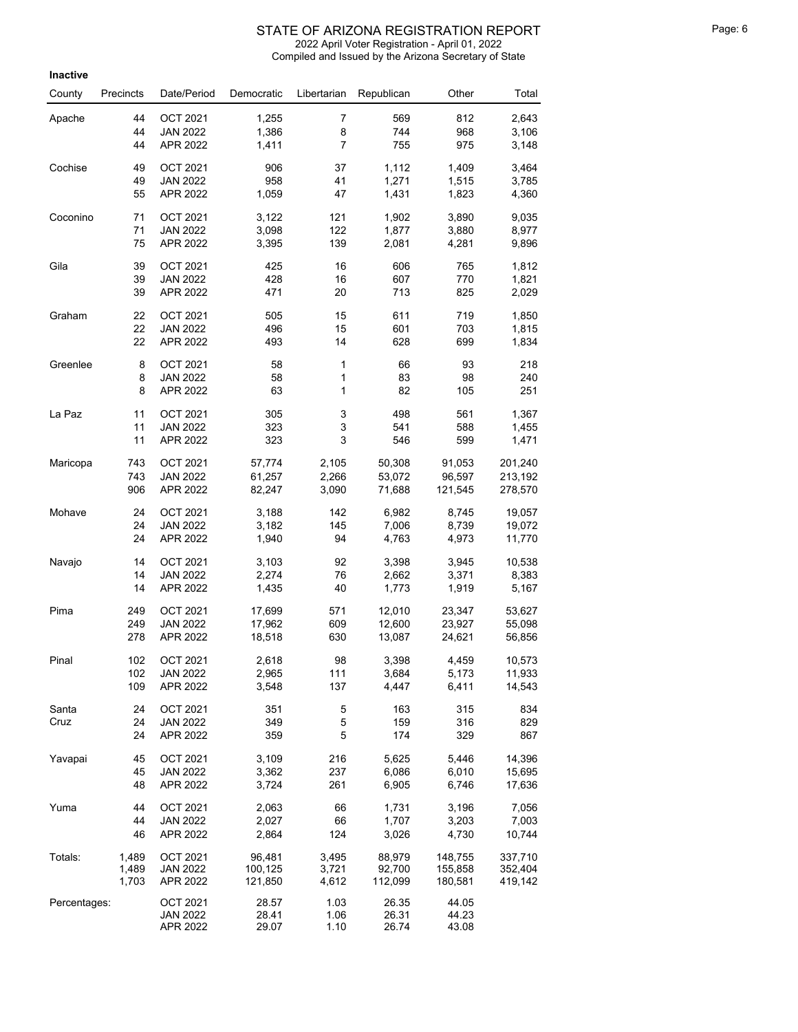#### STATE OF ARIZONA REGISTRATION REPORT FRIGHT THAT A Page: 6

2022 April Voter Registration - April 01, 2022

**Inactive** County Precincts Date/Period Democratic Libertarian Republican Other Total Apache 44 OCT 2021 1,255 7 569 812 2,643<br>Annual 10 2022 1,256 812 714 929 2,496 <sup>44</sup> JAN 2022 1,386 <sup>8</sup> <sup>744</sup> <sup>968</sup> 3,106 <sup>44</sup> APR 2022 1,411 <sup>7</sup> <sup>755</sup> <sup>975</sup> 3,148 Cochise <sup>49</sup> OCT 2021 <sup>906</sup> <sup>37</sup> 1,112 1,409 3,464 <sup>49</sup> JAN 2022 <sup>958</sup> <sup>41</sup> 1,271 1,515 3,785 <sup>55</sup> APR 2022 1,059 <sup>47</sup> 1,431 1,823 4,360 Coconino <sup>71</sup> OCT 2021 3,122 <sup>121</sup> 1,902 3,890 9,035 <sup>71</sup> JAN 2022 3,098 <sup>122</sup> 1,877 3,880 8,977 <sup>75</sup> APR 2022 3,395 <sup>139</sup> 2,081 4,281 9,896 Gila <sup>39</sup> OCT 2021 <sup>425</sup> <sup>16</sup> <sup>606</sup> <sup>765</sup> 1,812 <sup>39</sup> JAN 2022 <sup>428</sup> <sup>16</sup> <sup>607</sup> <sup>770</sup> 1,821 <sup>39</sup> APR 2022 <sup>471</sup> <sup>20</sup> <sup>713</sup> <sup>825</sup> 2,029 Graham 22 OCT 2021 505 15 611 719 1,850<br>Contract 100 100 15 601 709 1.015 <sup>22</sup> JAN 2022 <sup>496</sup> <sup>15</sup> <sup>601</sup> <sup>703</sup> 1,815 <sup>22</sup> APR 2022 <sup>493</sup> <sup>14</sup> <sup>628</sup> <sup>699</sup> 1,834 Greenlee 8 OCT 2021 58 1 66 93 218<br>Creenlee 8 0CT 2021 58 1 66 93 218 <sup>8</sup> JAN 2022 <sup>58</sup> <sup>1</sup> <sup>83</sup> <sup>98</sup> <sup>240</sup> 8 APR 2022 63 1 82 105 251 La Paz <sup>11</sup> OCT 2021 <sup>305</sup> <sup>3</sup> <sup>498</sup> <sup>561</sup> 1,367 <sup>11</sup> JAN 2022 <sup>323</sup> <sup>3</sup> <sup>541</sup> <sup>588</sup> 1,455 <sup>11</sup> APR 2022 <sup>323</sup> <sup>3</sup> <sup>546</sup> <sup>599</sup> 1,471 Maricopa <sup>743</sup> OCT 2021 57,774 2,105 50,308 91,053 201,240 <sup>743</sup> JAN 2022 61,257 2,266 53,072 96,597 213,192 <sup>906</sup> APR 2022 82,247 3,090 71,688 121,545 278,570 Mohave <sup>24</sup> OCT 2021 3,188 <sup>142</sup> 6,982 8,745 19,057 <sup>24</sup> JAN 2022 3,182 <sup>145</sup> 7,006 8,739 19,072 <sup>24</sup> APR 2022 1,940 <sup>94</sup> 4,763 4,973 11,770 Navajo <sup>14</sup> OCT 2021 3,103 <sup>92</sup> 3,398 3,945 10,538 <sup>14</sup> JAN 2022 2,274 <sup>76</sup> 2,662 3,371 8,383 <sup>14</sup> APR 2022 1,435 <sup>40</sup> 1,773 1,919 5,167 Pima <sup>249</sup> OCT 2021 17,699 <sup>571</sup> 12,010 23,347 53,627 <sup>249</sup> JAN 2022 17,962 <sup>609</sup> 12,600 23,927 55,098 <sup>278</sup> APR 2022 18,518 <sup>630</sup> 13,087 24,621 56,856 Pinal <sup>102</sup> OCT 2021 2,618 <sup>98</sup> 3,398 4,459 10,573 <sup>102</sup> JAN 2022 2,965 <sup>111</sup> 3,684 5,173 11,933 <sup>109</sup> APR 2022 3,548 <sup>137</sup> 4,447 6,411 14,543 Santa Cruz <sup>24</sup> OCT 2021 <sup>351</sup> <sup>5</sup> <sup>163</sup> <sup>315</sup> <sup>834</sup> <sup>24</sup> JAN 2022 <sup>349</sup> <sup>5</sup> <sup>159</sup> <sup>316</sup> <sup>829</sup> <sup>24</sup> APR 2022 <sup>359</sup> <sup>5</sup> <sup>174</sup> <sup>329</sup> <sup>867</sup> Yavapai <sup>45</sup> OCT 2021 3,109 <sup>216</sup> 5,625 5,446 14,396 <sup>45</sup> JAN 2022 3,362 <sup>237</sup> 6,086 6,010 15,695 <sup>48</sup> APR 2022 3,724 <sup>261</sup> 6,905 6,746 17,636 Yuma <sup>44</sup> OCT 2021 2,063 <sup>66</sup> 1,731 3,196 7,056 <sup>44</sup> JAN 2022 2,027 <sup>66</sup> 1,707 3,203 7,003 <sup>46</sup> APR 2022 2,864 <sup>124</sup> 3,026 4,730 10,744 Totals: 1,489 OCT 2021 96,481 3,495 88,979 148,755 337,710 1,489 JAN 2022 100,125 3,721 92,700 155,858 352,404 Compiled and Issued by the Arizona Secretary of State

1,703 APR 2022 121,850 4,612 112,099 180,581 419,142

JAN 2022 28.41 1.06 26.31 44.23 APR 2022 29.07 1.10 26.74 43.08

Percentages: 0CT 2021 28.57 1.03 26.35 44.05<br>106 28.31 109.2021 28.44 29.24 28.34 44.23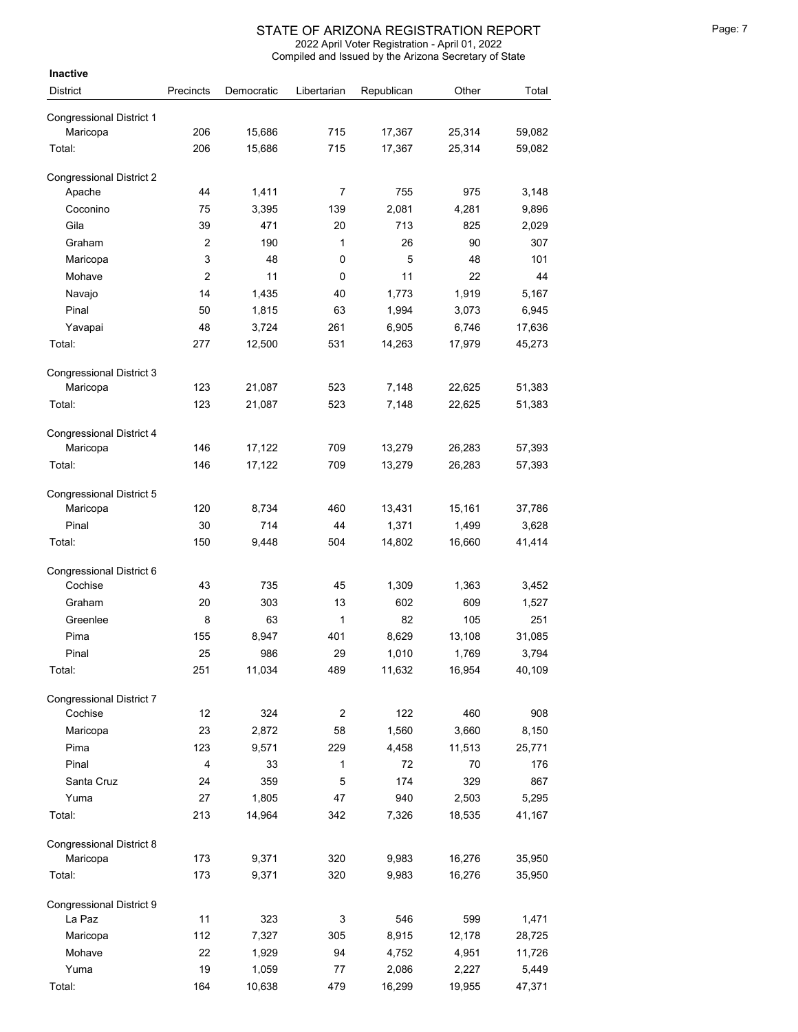| Inactive                        |                         |            |             |            |        |        |
|---------------------------------|-------------------------|------------|-------------|------------|--------|--------|
| <b>District</b>                 | Precincts               | Democratic | Libertarian | Republican | Other  | Total  |
|                                 |                         |            |             |            |        |        |
| <b>Congressional District 1</b> |                         |            |             |            |        |        |
| Maricopa                        | 206                     | 15,686     | 715         | 17,367     | 25,314 | 59,082 |
| Total:                          | 206                     | 15,686     | 715         | 17,367     | 25,314 | 59,082 |
| <b>Congressional District 2</b> |                         |            |             |            |        |        |
| Apache                          | 44                      | 1,411      | 7           | 755        | 975    | 3,148  |
| Coconino                        | 75                      | 3,395      | 139         | 2.081      | 4,281  | 9,896  |
| Gila                            | 39                      | 471        | 20          | 713        | 825    | 2,029  |
| Graham                          | $\overline{2}$          | 190        | 1           | 26         | 90     | 307    |
| Maricopa                        | 3                       | 48         | 0           | 5          | 48     | 101    |
| Mohave                          | $\overline{2}$          | 11         | 0           | 11         | 22     | 44     |
| Navajo                          | 14                      | 1,435      | 40          | 1,773      | 1,919  | 5,167  |
| Pinal                           | 50                      | 1,815      | 63          | 1,994      | 3,073  | 6,945  |
| Yavapai                         | 48                      | 3,724      | 261         | 6,905      | 6,746  | 17,636 |
| Total:                          | 277                     | 12,500     | 531         | 14,263     | 17,979 | 45,273 |
|                                 |                         |            |             |            |        |        |
| <b>Congressional District 3</b> |                         |            |             |            |        |        |
| Maricopa                        | 123                     | 21,087     | 523         | 7,148      | 22,625 | 51,383 |
| Total:                          | 123                     | 21,087     | 523         | 7,148      | 22,625 | 51,383 |
| <b>Congressional District 4</b> |                         |            |             |            |        |        |
| Maricopa                        | 146                     | 17,122     | 709         | 13,279     | 26,283 | 57,393 |
| Total:                          | 146                     | 17,122     | 709         | 13,279     | 26,283 | 57,393 |
|                                 |                         |            |             |            |        |        |
| <b>Congressional District 5</b> |                         |            |             |            |        |        |
| Maricopa                        | 120                     | 8,734      | 460         | 13,431     | 15,161 | 37,786 |
| Pinal                           | 30                      | 714        | 44          | 1,371      | 1,499  | 3,628  |
| Total:                          | 150                     | 9,448      | 504         | 14,802     | 16,660 | 41,414 |
| Congressional District 6        |                         |            |             |            |        |        |
| Cochise                         | 43                      | 735        | 45          | 1,309      | 1,363  | 3,452  |
| Graham                          | 20                      | 303        | 13          | 602        | 609    | 1,527  |
| Greenlee                        | 8                       | 63         | 1           | 82         | 105    | 251    |
| Pima                            | 155                     | 8,947      | 401         | 8,629      | 13,108 | 31,085 |
| Pinal                           | 25                      | 986        | 29          | 1,010      | 1,769  | 3,794  |
| Total:                          | 251                     | 11,034     | 489         | 11,632     | 16,954 | 40,109 |
|                                 |                         |            |             |            |        |        |
| <b>Congressional District 7</b> |                         |            |             |            |        |        |
| Cochise                         | 12                      | 324        | 2           | 122        | 460    | 908    |
| Maricopa                        | 23                      | 2,872      | 58          | 1,560      | 3,660  | 8,150  |
| Pima                            | 123                     | 9,571      | 229         | 4,458      | 11,513 | 25,771 |
| Pinal                           | $\overline{\mathbf{4}}$ | 33         | 1           | 72         | 70     | 176    |
| Santa Cruz                      | 24                      | 359        | 5           | 174        | 329    | 867    |
| Yuma                            | 27                      | 1,805      | 47          | 940        | 2,503  | 5,295  |
| Total:                          | 213                     | 14,964     | 342         | 7,326      | 18,535 | 41,167 |
| Congressional District 8        |                         |            |             |            |        |        |
| Maricopa                        | 173                     | 9,371      | 320         | 9,983      | 16,276 | 35,950 |
| Total:                          | 173                     | 9,371      | 320         | 9,983      | 16,276 | 35,950 |
|                                 |                         |            |             |            |        |        |
| Congressional District 9        |                         |            |             |            |        |        |
| La Paz                          | 11                      | 323        | 3           | 546        | 599    | 1,471  |
| Maricopa                        | 112                     | 7,327      | 305         | 8,915      | 12,178 | 28,725 |
| Mohave                          | 22                      | 1,929      | 94          | 4,752      | 4,951  | 11,726 |
| Yuma                            | 19                      | 1,059      | 77          | 2,086      | 2,227  | 5,449  |
| Total:                          | 164                     | 10,638     | 479         | 16,299     | 19,955 | 47,371 |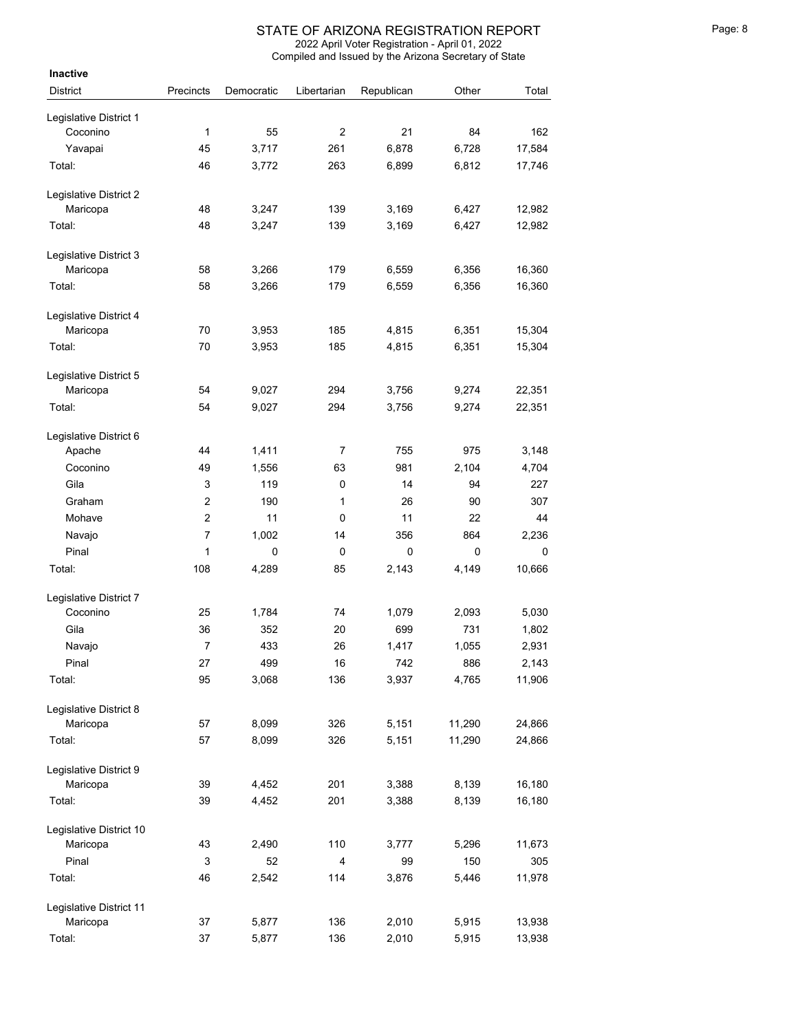| Inactive                |                |            |                |             |        |        |
|-------------------------|----------------|------------|----------------|-------------|--------|--------|
| <b>District</b>         | Precincts      | Democratic | Libertarian    | Republican  | Other  | Total  |
| Legislative District 1  |                |            |                |             |        |        |
| Coconino                | 1              | 55         | $\overline{2}$ | 21          | 84     | 162    |
| Yavapai                 | 45             | 3,717      | 261            | 6,878       | 6,728  | 17,584 |
| Total:                  | 46             | 3,772      | 263            | 6,899       | 6,812  | 17,746 |
| Legislative District 2  |                |            |                |             |        |        |
| Maricopa                | 48             | 3,247      | 139            | 3,169       | 6,427  | 12,982 |
| Total:                  | 48             | 3,247      | 139            | 3,169       | 6,427  | 12,982 |
| Legislative District 3  |                |            |                |             |        |        |
| Maricopa                | 58             | 3,266      | 179            | 6,559       | 6,356  | 16,360 |
| Total:                  | 58             | 3,266      | 179            | 6,559       | 6,356  | 16,360 |
| Legislative District 4  |                |            |                |             |        |        |
| Maricopa                | 70             | 3,953      | 185            | 4,815       | 6,351  | 15,304 |
| Total:                  | 70             | 3,953      | 185            | 4,815       | 6,351  | 15,304 |
| Legislative District 5  |                |            |                |             |        |        |
| Maricopa                | 54             | 9,027      | 294            | 3,756       | 9,274  | 22,351 |
| Total:                  | 54             | 9,027      | 294            | 3,756       | 9,274  | 22,351 |
| Legislative District 6  |                |            |                |             |        |        |
| Apache                  | 44             | 1,411      | 7              | 755         | 975    | 3,148  |
| Coconino                | 49             | 1,556      | 63             | 981         | 2,104  | 4,704  |
| Gila                    | 3              | 119        | 0              | 14          | 94     | 227    |
| Graham                  | $\overline{2}$ | 190        | 1              | 26          | 90     | 307    |
| Mohave                  | $\overline{c}$ | 11         | 0              | 11          | 22     | 44     |
| Navajo                  | $\overline{7}$ | 1,002      | 14             | 356         | 864    | 2,236  |
| Pinal                   | 1              | 0          | 0              | $\mathbf 0$ | 0      | 0      |
| Total:                  | 108            | 4,289      | 85             | 2,143       | 4,149  | 10,666 |
| Legislative District 7  |                |            |                |             |        |        |
| Coconino                | 25             | 1,784      | 74             | 1,079       | 2,093  | 5,030  |
| Gila                    | 36             | 352        | 20             | 699         | 731    | 1,802  |
| Navajo                  | 7              | 433        | 26             | 1,417       | 1,055  | 2,931  |
| Pinal                   | 27             | 499        | 16             | 742         | 886    | 2,143  |
| Total:                  | 95             | 3,068      | 136            | 3,937       | 4,765  | 11,906 |
| Legislative District 8  |                |            |                |             |        |        |
| Maricopa                | 57             | 8,099      | 326            | 5,151       | 11,290 | 24,866 |
| Total:                  | 57             | 8,099      | 326            | 5,151       | 11,290 | 24,866 |
| Legislative District 9  |                |            |                |             |        |        |
| Maricopa                | 39             | 4,452      | 201            | 3,388       | 8,139  | 16,180 |
| Total:                  | 39             | 4,452      | 201            | 3,388       | 8,139  | 16,180 |
| Legislative District 10 |                |            |                |             |        |        |
| Maricopa                | 43             | 2,490      | 110            | 3,777       | 5,296  | 11,673 |
| Pinal                   | 3              | 52         | 4              | 99          | 150    | 305    |
| Total:                  | 46             | 2,542      | 114            | 3,876       | 5,446  | 11,978 |
| Legislative District 11 |                |            |                |             |        |        |
| Maricopa                | 37             | 5,877      | 136            | 2,010       | 5,915  | 13,938 |
| Total:                  | 37             | 5,877      | 136            | 2,010       | 5,915  | 13,938 |
|                         |                |            |                |             |        |        |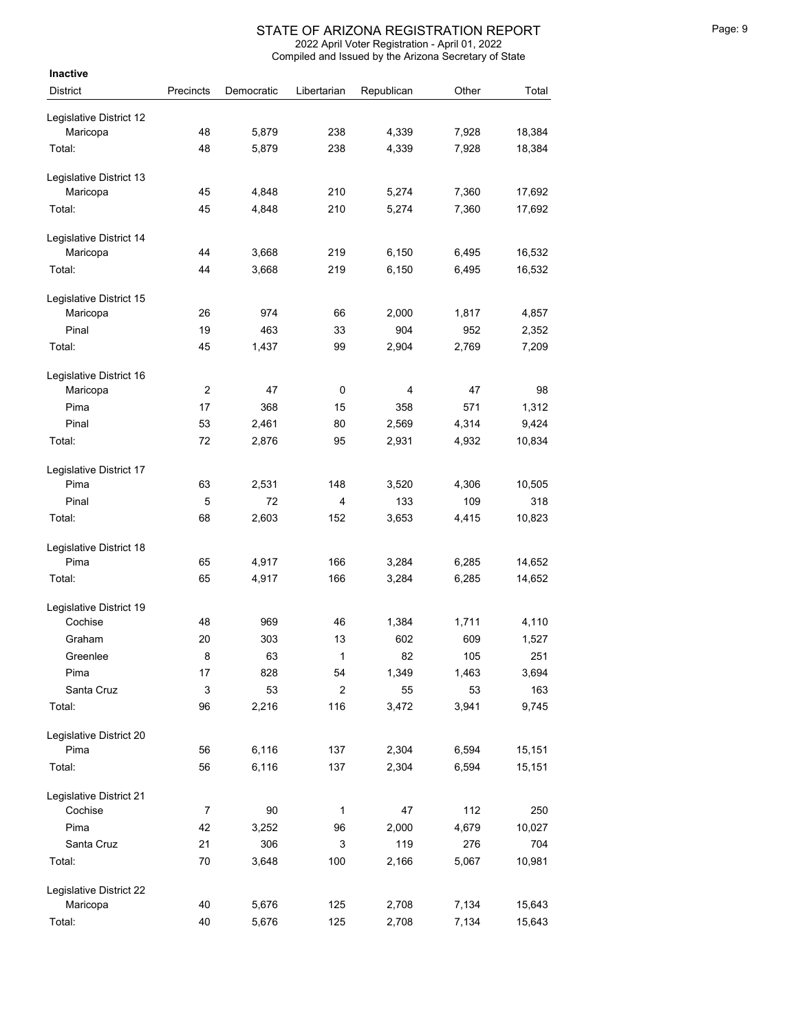| Inactive                |                |            |                         |            |       |        |
|-------------------------|----------------|------------|-------------------------|------------|-------|--------|
| <b>District</b>         | Precincts      | Democratic | Libertarian             | Republican | Other | Total  |
| Legislative District 12 |                |            |                         |            |       |        |
| Maricopa                | 48             | 5,879      | 238                     | 4,339      | 7,928 | 18,384 |
| Total:                  | 48             | 5,879      | 238                     | 4,339      | 7,928 | 18,384 |
| Legislative District 13 |                |            |                         |            |       |        |
| Maricopa                | 45             | 4,848      | 210                     | 5,274      | 7,360 | 17,692 |
| Total:                  | 45             | 4,848      | 210                     | 5,274      | 7,360 | 17,692 |
| Legislative District 14 |                |            |                         |            |       |        |
| Maricopa                | 44             | 3,668      | 219                     | 6,150      | 6,495 | 16,532 |
| Total:                  | 44             | 3,668      | 219                     | 6,150      | 6,495 | 16,532 |
| Legislative District 15 |                |            |                         |            |       |        |
| Maricopa                | 26             | 974        | 66                      | 2,000      | 1,817 | 4,857  |
| Pinal                   | 19             | 463        | 33                      | 904        | 952   | 2,352  |
| Total:                  | 45             | 1,437      | 99                      | 2,904      | 2,769 | 7,209  |
| Legislative District 16 |                |            |                         |            |       |        |
| Maricopa                | $\overline{c}$ | 47         | 0                       | 4          | 47    | 98     |
| Pima                    | 17             | 368        | 15                      | 358        | 571   | 1,312  |
| Pinal                   | 53             | 2,461      | 80                      | 2,569      | 4,314 | 9,424  |
| Total:                  | 72             | 2,876      | 95                      | 2,931      | 4,932 | 10,834 |
| Legislative District 17 |                |            |                         |            |       |        |
| Pima                    | 63             | 2,531      | 148                     | 3,520      | 4,306 | 10,505 |
| Pinal                   | 5              | 72         | 4                       | 133        | 109   | 318    |
| Total:                  | 68             | 2,603      | 152                     | 3,653      | 4,415 | 10,823 |
| Legislative District 18 |                |            |                         |            |       |        |
| Pima                    | 65             | 4,917      | 166                     | 3,284      | 6,285 | 14,652 |
| Total:                  | 65             | 4,917      | 166                     | 3,284      | 6,285 | 14,652 |
| Legislative District 19 |                |            |                         |            |       |        |
| Cochise                 | 48             | 969        | 46                      | 1,384      | 1,711 | 4,110  |
| Graham                  | 20             | 303        | 13                      | 602        | 609   | 1,527  |
| Greenlee                | 8              | 63         | 1                       | 82         | 105   | 251    |
| Pima                    | 17             | 828        | 54                      | 1,349      | 1,463 | 3,694  |
| Santa Cruz              | 3              | 53         | $\overline{\mathbf{c}}$ | 55         | 53    | 163    |
| Total:                  | 96             | 2,216      | 116                     | 3,472      | 3,941 | 9,745  |
| Legislative District 20 |                |            |                         |            |       |        |
| Pima                    | 56             | 6,116      | 137                     | 2,304      | 6,594 | 15,151 |
| Total:                  | 56             | 6,116      | 137                     | 2,304      | 6,594 | 15,151 |
| Legislative District 21 |                |            |                         |            |       |        |
| Cochise                 | $\overline{7}$ | 90         | 1                       | 47         | 112   | 250    |
| Pima                    | 42             | 3,252      | 96                      | 2,000      | 4,679 | 10,027 |
| Santa Cruz              | 21             | 306        | 3                       | 119        | 276   | 704    |
| Total:                  | 70             | 3,648      | 100                     | 2,166      | 5,067 | 10,981 |
| Legislative District 22 |                |            |                         |            |       |        |
| Maricopa                | 40             | 5,676      | 125                     | 2,708      | 7,134 | 15,643 |
| Total:                  | 40             | 5,676      | 125                     | 2,708      | 7,134 | 15,643 |